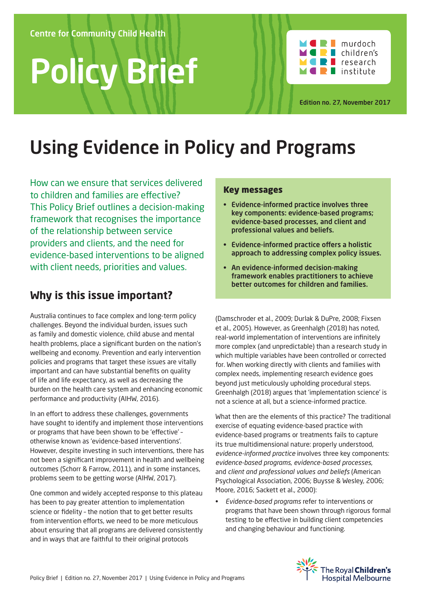# Policy Brief



Edition no. 27, November 2017

## Using Evidence in Policy and Programs

How can we ensure that services delivered to children and families are effective? This Policy Brief outlines a decision-making framework that recognises the importance of the relationship between service providers and clients, and the need for evidence-based interventions to be aligned with client needs, priorities and values.

## **Why is this issue important?**

Australia continues to face complex and long-term policy challenges. Beyond the individual burden, issues such as family and domestic violence, child abuse and mental health problems, place a significant burden on the nation's wellbeing and economy. Prevention and early intervention policies and programs that target these issues are vitally important and can have substantial benefits on quality of life and life expectancy, as well as decreasing the burden on the health care system and enhancing economic performance and productivity (AIHW, 2016).

In an effort to address these challenges, governments have sought to identify and implement those interventions or programs that have been shown to be 'effective' – otherwise known as 'evidence-based interventions'. However, despite investing in such interventions, there has not been a significant improvement in health and wellbeing outcomes (Schorr & Farrow, 2011), and in some instances, problems seem to be getting worse (AIHW, 2017).

One common and widely accepted response to this plateau has been to pay greater attention to implementation science or fidelity – the notion that to get better results from intervention efforts, we need to be more meticulous about ensuring that all programs are delivered consistently and in ways that are faithful to their original protocols

#### Key messages

- Evidence-informed practice involves three key components: evidence-based programs; evidence-based processes, and client and professional values and beliefs.
- Evidence-informed practice offers a holistic approach to addressing complex policy issues.
- An evidence-informed decision-making framework enables practitioners to achieve better outcomes for children and families.

(Damschroder et al., 2009; Durlak & DuPre, 2008; Fixsen et al., 2005). However, as Greenhalgh (2018) has noted, real-world implementation of interventions are infinitely more complex (and unpredictable) than a research study in which multiple variables have been controlled or corrected for. When working directly with clients and families with complex needs, implementing research evidence goes beyond just meticulously upholding procedural steps. Greenhalgh (2018) argues that 'implementation science' is not a science at all, but a science-informed practice.

What then are the elements of this practice? The traditional exercise of equating evidence-based practice with evidence-based programs or treatments fails to capture its true multidimensional nature: properly understood, *evidence-informed practice* involves three key components: *evidence-based programs*, *evidence-based processes*, and *client and professional values and beliefs* (American Psychological Association, 2006; Buysse & Wesley, 2006; Moore, 2016; Sackett et al., 2000):

• *Evidence-based programs* refer to interventions or programs that have been shown through rigorous formal testing to be effective in building client competencies and changing behaviour and functioning.

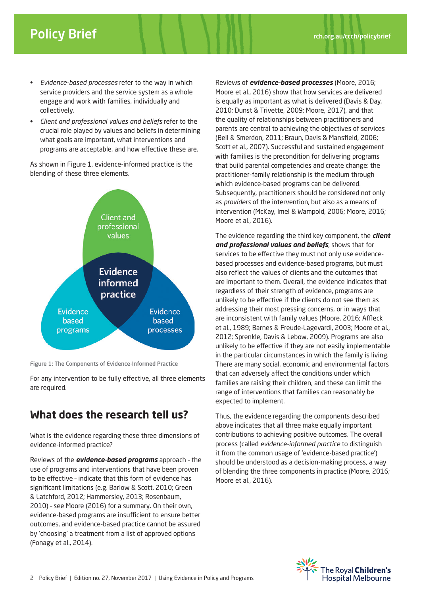- *Evidence-based processes* refer to the way in which service providers and the service system as a whole engage and work with families, individually and collectively.
- *Client and professional values and beliefs* refer to the crucial role played by values and beliefs in determining what goals are important, what interventions and programs are acceptable, and how effective these are.

As shown in Figure 1, evidence-informed practice is the blending of these three elements.



Figure 1: The Components of Evidence-Informed Practice

For any intervention to be fully effective, all three elements are required.

## **What does the research tell us?**

What is the evidence regarding these three dimensions of evidence-informed practice?

Reviews of the *evidence-based programs* approach – the use of programs and interventions that have been proven to be effective – indicate that this form of evidence has significant limitations (e.g. Barlow & Scott, 2010; Green & Latchford, 2012; Hammersley, 2013; Rosenbaum, 2010) – see Moore (2016) for a summary. On their own, evidence-based programs are insufficient to ensure better outcomes, and evidence-based practice cannot be assured by 'choosing' a treatment from a list of approved options (Fonagy et al., 2014).

Reviews of *evidence-based processes* (Moore, 2016; Moore et al., 2016) show that how services are delivered is equally as important as what is delivered (Davis & Day, 2010; Dunst & Trivette, 2009; Moore, 2017), and that the quality of relationships between practitioners and parents are central to achieving the objectives of services (Bell & Smerdon, 2011; Braun, Davis & Mansfield, 2006; Scott et al., 2007). Successful and sustained engagement with families is the precondition for delivering programs that build parental competencies and create change: the practitioner-family relationship is the medium through which evidence-based programs can be delivered. Subsequently, practitioners should be considered not only as *providers* of the intervention, but also as a means of intervention (McKay, Imel & Wampold, 2006; Moore, 2016; Moore et al., 2016).

The evidence regarding the third key component, the *client and professional values and beliefs*, shows that for services to be effective they must not only use evidencebased processes and evidence-based programs, but must also reflect the values of clients and the outcomes that are important to them. Overall, the evidence indicates that regardless of their strength of evidence, programs are unlikely to be effective if the clients do not see them as addressing their most pressing concerns, or in ways that are inconsistent with family values (Moore, 2016; Affleck et al., 1989; Barnes & Freude-Lagevardi, 2003; Moore et al., 2012; Sprenkle, Davis & Lebow, 2009). Programs are also unlikely to be effective if they are not easily implementable in the particular circumstances in which the family is living. There are many social, economic and environmental factors that can adversely affect the conditions under which families are raising their children, and these can limit the range of interventions that families can reasonably be expected to implement.

Thus, the evidence regarding the components described above indicates that all three make equally important contributions to achieving positive outcomes. The overall process (called *evidence-informed practice* to distinguish it from the common usage of 'evidence-based practice') should be understood as a decision-making process, a way of blending the three components in practice (Moore, 2016; Moore et al., 2016).

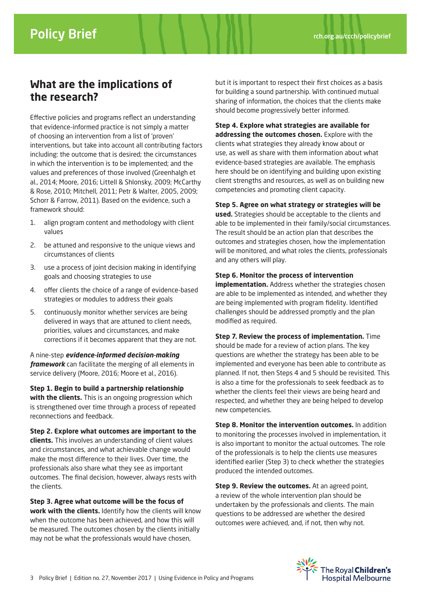## **What are the implications of the research?**

Effective policies and programs reflect an understanding that evidence-informed practice is not simply a matter of choosing an intervention from a list of 'proven' interventions, but take into account all contributing factors including: the outcome that is desired; the circumstances in which the intervention is to be implemented; and the values and preferences of those involved (Greenhalgh et al., 2014; Moore, 2016; Littell & Shlonsky, 2009; McCarthy & Rose, 2010; Mitchell, 2011; Petr & Walter, 2005, 2009; Schorr & Farrow, 2011). Based on the evidence, such a framework should:

- 1. align program content and methodology with client values
- 2. be attuned and responsive to the unique views and circumstances of clients
- 3. use a process of joint decision making in identifying goals and choosing strategies to use
- 4. offer clients the choice of a range of evidence-based strategies or modules to address their goals
- 5. continuously monitor whether services are being delivered in ways that are attuned to client needs, priorities, values and circumstances, and make corrections if it becomes apparent that they are not.

A nine-step *evidence-informed decision-making framework* can facilitate the merging of all elements in service delivery (Moore, 2016; Moore et al., 2016).

**Step 1. Begin to build a partnership relationship with the clients.** This is an ongoing progression which is strengthened over time through a process of repeated reconnections and feedback.

**Step 2. Explore what outcomes are important to the clients.** This involves an understanding of client values and circumstances, and what achievable change would make the most difference to their lives. Over time, the professionals also share what they see as important outcomes. The final decision, however, always rests with the clients.

**Step 3. Agree what outcome will be the focus of work with the clients.** Identify how the clients will know when the outcome has been achieved, and how this will be measured. The outcomes chosen by the clients initially may not be what the professionals would have chosen,

but it is important to respect their first choices as a basis for building a sound partnership. With continued mutual sharing of information, the choices that the clients make should become progressively better informed.

**Step 4. Explore what strategies are available for addressing the outcomes chosen.** Explore with the clients what strategies they already know about or use, as well as share with them information about what evidence-based strategies are available. The emphasis here should be on identifying and building upon existing client strengths and resources, as well as on building new competencies and promoting client capacity.

#### **Step 5. Agree on what strategy or strategies will be**

**used.** Strategies should be acceptable to the clients and able to be implemented in their family/social circumstances. The result should be an action plan that describes the outcomes and strategies chosen, how the implementation will be monitored, and what roles the clients, professionals and any others will play.

#### **Step 6. Monitor the process of intervention**

**implementation.** Address whether the strategies chosen are able to be implemented as intended, and whether they are being implemented with program fidelity. Identified challenges should be addressed promptly and the plan modified as required.

**Step 7. Review the process of implementation.** Time should be made for a review of action plans. The key questions are whether the strategy has been able to be implemented and everyone has been able to contribute as planned. If not, then Steps 4 and 5 should be revisited. This is also a time for the professionals to seek feedback as to whether the clients feel their views are being heard and respected, and whether they are being helped to develop new competencies.

**Step 8. Monitor the intervention outcomes.** In addition to monitoring the processes involved in implementation, it is also important to monitor the actual outcomes. The role of the professionals is to help the clients use measures identified earlier (Step 3) to check whether the strategies produced the intended outcomes.

**Step 9. Review the outcomes.** At an agreed point, a review of the whole intervention plan should be undertaken by the professionals and clients. The main questions to be addressed are whether the desired outcomes were achieved, and, if not, then why not.